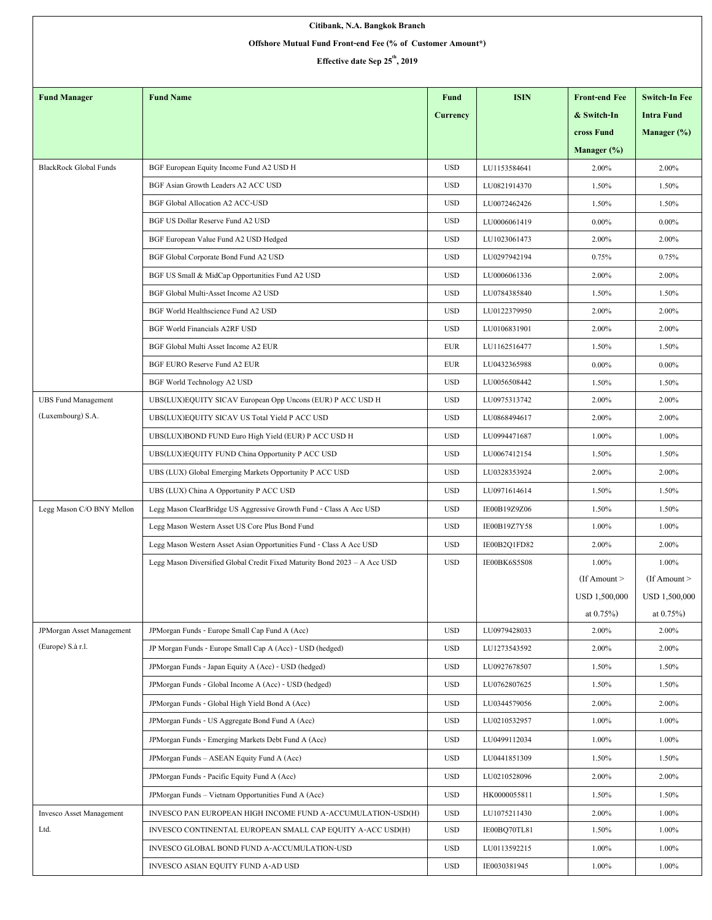| Citibank, N.A. Bangkok Branch                              |                                                                           |             |              |                      |                      |  |  |  |  |  |
|------------------------------------------------------------|---------------------------------------------------------------------------|-------------|--------------|----------------------|----------------------|--|--|--|--|--|
| Offshore Mutual Fund Front-end Fee (% of Customer Amount*) |                                                                           |             |              |                      |                      |  |  |  |  |  |
| Effective date Sep 25 <sup>th</sup> , 2019                 |                                                                           |             |              |                      |                      |  |  |  |  |  |
|                                                            |                                                                           |             |              |                      |                      |  |  |  |  |  |
| <b>Fund Manager</b>                                        | <b>Fund Name</b>                                                          | <b>Fund</b> | <b>ISIN</b>  | <b>Front-end Fee</b> | <b>Switch-In Fee</b> |  |  |  |  |  |
|                                                            |                                                                           | Currency    |              | & Switch-In          | <b>Intra Fund</b>    |  |  |  |  |  |
|                                                            |                                                                           |             |              | cross Fund           | Manager $(\%)$       |  |  |  |  |  |
|                                                            |                                                                           |             |              | Manager $(\%)$       |                      |  |  |  |  |  |
| <b>BlackRock Global Funds</b>                              | BGF European Equity Income Fund A2 USD H                                  | <b>USD</b>  | LU1153584641 | 2.00%                | 2.00%                |  |  |  |  |  |
|                                                            | BGF Asian Growth Leaders A2 ACC USD                                       | <b>USD</b>  | LU0821914370 | 1.50%                | 1.50%                |  |  |  |  |  |
|                                                            | <b>BGF Global Allocation A2 ACC-USD</b>                                   | <b>USD</b>  | LU0072462426 | 1.50%                | 1.50%                |  |  |  |  |  |
|                                                            | BGF US Dollar Reserve Fund A2 USD                                         | <b>USD</b>  | LU0006061419 | $0.00\%$             | $0.00\%$             |  |  |  |  |  |
|                                                            | BGF European Value Fund A2 USD Hedged                                     | <b>USD</b>  | LU1023061473 | 2.00%                | 2.00%                |  |  |  |  |  |
|                                                            | BGF Global Corporate Bond Fund A2 USD                                     | <b>USD</b>  | LU0297942194 | 0.75%                | 0.75%                |  |  |  |  |  |
|                                                            | BGF US Small & MidCap Opportunities Fund A2 USD                           | <b>USD</b>  | LU0006061336 | 2.00%                | 2.00%                |  |  |  |  |  |
|                                                            | BGF Global Multi-Asset Income A2 USD                                      | <b>USD</b>  | LU0784385840 | 1.50%                | 1.50%                |  |  |  |  |  |
|                                                            | BGF World Healthscience Fund A2 USD                                       | <b>USD</b>  | LU0122379950 | 2.00%                | 2.00%                |  |  |  |  |  |
|                                                            | <b>BGF World Financials A2RF USD</b>                                      | <b>USD</b>  | LU0106831901 | 2.00%                | 2.00%                |  |  |  |  |  |
|                                                            | BGF Global Multi Asset Income A2 EUR                                      | <b>EUR</b>  | LU1162516477 | 1.50%                | 1.50%                |  |  |  |  |  |
|                                                            | BGF EURO Reserve Fund A2 EUR                                              | <b>EUR</b>  | LU0432365988 | $0.00\%$             | $0.00\%$             |  |  |  |  |  |
|                                                            | BGF World Technology A2 USD                                               | <b>USD</b>  | LU0056508442 | 1.50%                | 1.50%                |  |  |  |  |  |
| <b>UBS Fund Management</b>                                 | UBS(LUX)EQUITY SICAV European Opp Uncons (EUR) P ACC USD H                | <b>USD</b>  | LU0975313742 | 2.00%                | 2.00%                |  |  |  |  |  |
| (Luxembourg) S.A.                                          | UBS(LUX)EQUITY SICAV US Total Yield P ACC USD                             | <b>USD</b>  | LU0868494617 | 2.00%                | 2.00%                |  |  |  |  |  |
|                                                            | UBS(LUX)BOND FUND Euro High Yield (EUR) P ACC USD H                       | <b>USD</b>  | LU0994471687 | 1.00%                | 1.00%                |  |  |  |  |  |
|                                                            | UBS(LUX)EQUITY FUND China Opportunity P ACC USD                           | <b>USD</b>  | LU0067412154 | 1.50%                | 1.50%                |  |  |  |  |  |
|                                                            | UBS (LUX) Global Emerging Markets Opportunity P ACC USD                   | <b>USD</b>  | LU0328353924 | 2.00%                | 2.00%                |  |  |  |  |  |
|                                                            | UBS (LUX) China A Opportunity P ACC USD                                   | <b>USD</b>  | LU0971614614 | 1.50%                | 1.50%                |  |  |  |  |  |
| Legg Mason C/O BNY Mellon                                  | Legg Mason ClearBridge US Aggressive Growth Fund - Class A Acc USD        | <b>USD</b>  | IE00B19Z9Z06 | 1.50%                | 1.50%                |  |  |  |  |  |
|                                                            | Legg Mason Western Asset US Core Plus Bond Fund                           | <b>USD</b>  | IE00B19Z7Y58 | 1.00%                | 1.00%                |  |  |  |  |  |
|                                                            | Legg Mason Western Asset Asian Opportunities Fund - Class A Acc USD       | <b>USD</b>  | IE00B2Q1FD82 | 2.00%                | 2.00%                |  |  |  |  |  |
|                                                            | Legg Mason Diversified Global Credit Fixed Maturity Bond 2023 - A Acc USD | <b>USD</b>  | IE00BK6S5S08 | 1.00%                | 1.00%                |  |  |  |  |  |
|                                                            |                                                                           |             |              | $($ If Amount $>$    | (If Amount $>$       |  |  |  |  |  |
|                                                            |                                                                           |             |              | USD 1,500,000        | USD 1,500,000        |  |  |  |  |  |
|                                                            |                                                                           |             |              | at $0.75\%$ )        | at $0.75\%$          |  |  |  |  |  |
| <b>JPMorgan Asset Management</b>                           | JPMorgan Funds - Europe Small Cap Fund A (Acc)                            | <b>USD</b>  | LU0979428033 | 2.00%                | 2.00%                |  |  |  |  |  |
| (Europe) S.à r.l.                                          | JP Morgan Funds - Europe Small Cap A (Acc) - USD (hedged)                 | <b>USD</b>  | LU1273543592 | 2.00%                | 2.00%                |  |  |  |  |  |
|                                                            | JPMorgan Funds - Japan Equity A (Acc) - USD (hedged)                      | <b>USD</b>  | LU0927678507 | 1.50%                | 1.50%                |  |  |  |  |  |
|                                                            | JPMorgan Funds - Global Income A (Acc) - USD (hedged)                     | <b>USD</b>  | LU0762807625 | 1.50%                | 1.50%                |  |  |  |  |  |
|                                                            | JPMorgan Funds - Global High Yield Bond A (Acc)                           | <b>USD</b>  | LU0344579056 | 2.00%                | 2.00%                |  |  |  |  |  |
|                                                            | JPMorgan Funds - US Aggregate Bond Fund A (Acc)                           | <b>USD</b>  | LU0210532957 | 1.00%                | 1.00%                |  |  |  |  |  |
|                                                            | JPMorgan Funds - Emerging Markets Debt Fund A (Acc)                       | <b>USD</b>  | LU0499112034 | 1.00%                | 1.00%                |  |  |  |  |  |
|                                                            |                                                                           |             |              |                      |                      |  |  |  |  |  |
|                                                            | JPMorgan Funds - ASEAN Equity Fund A (Acc)                                | <b>USD</b>  | LU0441851309 | 1.50%                | 1.50%                |  |  |  |  |  |
|                                                            | JPMorgan Funds - Pacific Equity Fund A (Acc)                              | <b>USD</b>  | LU0210528096 | 2.00%                | 2.00%                |  |  |  |  |  |
|                                                            | JPMorgan Funds - Vietnam Opportunities Fund A (Acc)                       | <b>USD</b>  | HK0000055811 | 1.50%                | 1.50%                |  |  |  |  |  |
| Invesco Asset Management                                   | INVESCO PAN EUROPEAN HIGH INCOME FUND A-ACCUMULATION-USD(H)               | <b>USD</b>  | LU1075211430 | 2.00%                | 1.00%                |  |  |  |  |  |
| Ltd.                                                       | INVESCO CONTINENTAL EUROPEAN SMALL CAP EQUITY A-ACC USD(H)                | <b>USD</b>  | IE00BQ70TL81 | 1.50%                | 1.00%                |  |  |  |  |  |
|                                                            | INVESCO GLOBAL BOND FUND A-ACCUMULATION-USD                               | <b>USD</b>  | LU0113592215 | 1.00%                | 1.00%                |  |  |  |  |  |
|                                                            | INVESCO ASIAN EQUITY FUND A-AD USD                                        | <b>USD</b>  | IE0030381945 | 1.00%                | 1.00%                |  |  |  |  |  |